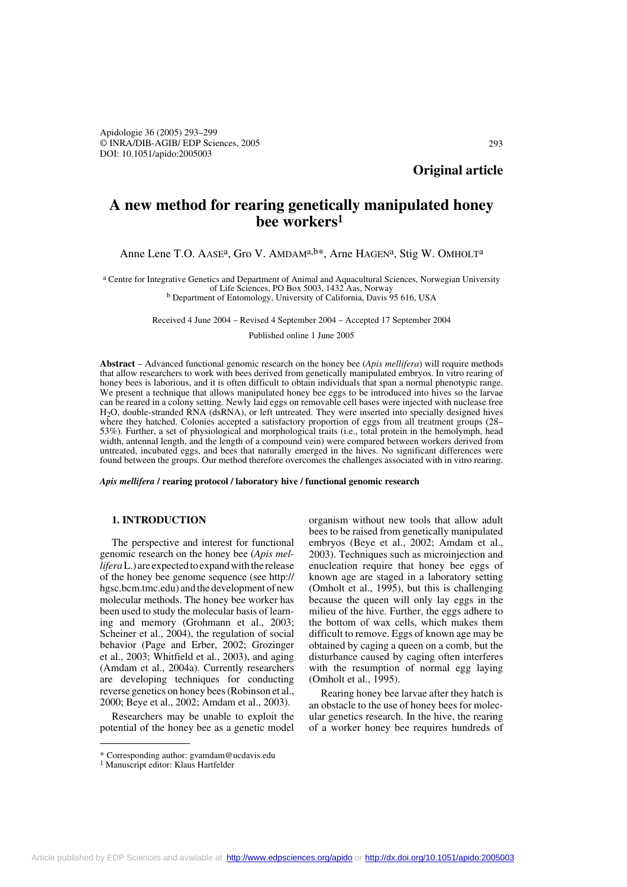**Original article**

# **A new method for rearing genetically manipulated honey bee workers1**

## Anne Lene T.O. AASE<sup>a</sup>, Gro V. AMDAM<sup>a,b\*</sup>, Arne HAGEN<sup>a</sup>, Stig W. OMHOLT<sup>a</sup>

<sup>a</sup> Centre for Integrative Genetics and Department of Animal and Aquacultural Sciences, Norwegian University of Life Sciences, PO Box 5003, 1432 Aas, Norway <sup>b</sup> Department of Entomology, University of California, Davis 95 616, USA

Received 4 June 2004 – Revised 4 September 2004 – Accepted 17 September 2004

Published online 1 June 2005

**Abstract** – Advanced functional genomic research on the honey bee (*Apis mellifera*) will require methods that allow researchers to work with bees derived from genetically manipulated embryos. In vitro rearing of honey bees is laborious, and it is often difficult to obtain individuals that span a normal phenotypic range. We present a technique that allows manipulated honey bee eggs to be introduced into hives so the larvae can be reared in a colony setting. Newly laid eggs on removable cell bases were injected with nuclease free H2O, double-stranded RNA (dsRNA), or left untreated. They were inserted into specially designed hives where they hatched. Colonies accepted a satisfactory proportion of eggs from all treatment groups (28– 53%). Further, a set of physiological and morphological traits (i.e., total protein in the hemolymph, head width, antennal length, and the length of a compound vein) were compared between workers derived from untreated, incubated eggs, and bees that naturally emerged in the hives. No significant differences were found between the groups. Our method therefore overcomes the challenges associated with in vitro rearing.

*Apis mellifera* **/ rearing protocol / laboratory hive / functional genomic research**

## **1. INTRODUCTION**

The perspective and interest for functional genomic research on the honey bee (*Apis mellifera* L.) are expected to expand with the release of the honey bee genome sequence (see http:// hgsc.bcm.tmc.edu) and the development of new molecular methods. The honey bee worker has been used to study the molecular basis of learning and memory (Grohmann et al., 2003; Scheiner et al., 2004), the regulation of social behavior (Page and Erber, 2002; Grozinger et al., 2003; Whitfield et al., 2003), and aging (Amdam et al., 2004a). Currently researchers are developing techniques for conducting reverse genetics on honey bees (Robinson et al., 2000; Beye et al., 2002; Amdam et al., 2003).

Researchers may be unable to exploit the potential of the honey bee as a genetic model

organism without new tools that allow adult bees to be raised from genetically manipulated embryos (Beye et al., 2002; Amdam et al., 2003). Techniques such as microinjection and enucleation require that honey bee eggs of known age are staged in a laboratory setting (Omholt et al., 1995), but this is challenging because the queen will only lay eggs in the milieu of the hive. Further, the eggs adhere to the bottom of wax cells, which makes them difficult to remove. Eggs of known age may be obtained by caging a queen on a comb, but the disturbance caused by caging often interferes with the resumption of normal egg laying (Omholt et al., 1995).

Rearing honey bee larvae after they hatch is an obstacle to the use of honey bees for molecular genetics research. In the hive, the rearing of a worker honey bee requires hundreds of

<sup>\*</sup> Corresponding author: gvamdam@ucdavis.edu

<sup>&</sup>lt;sup>1</sup> Manuscript editor: Klaus Hartfelder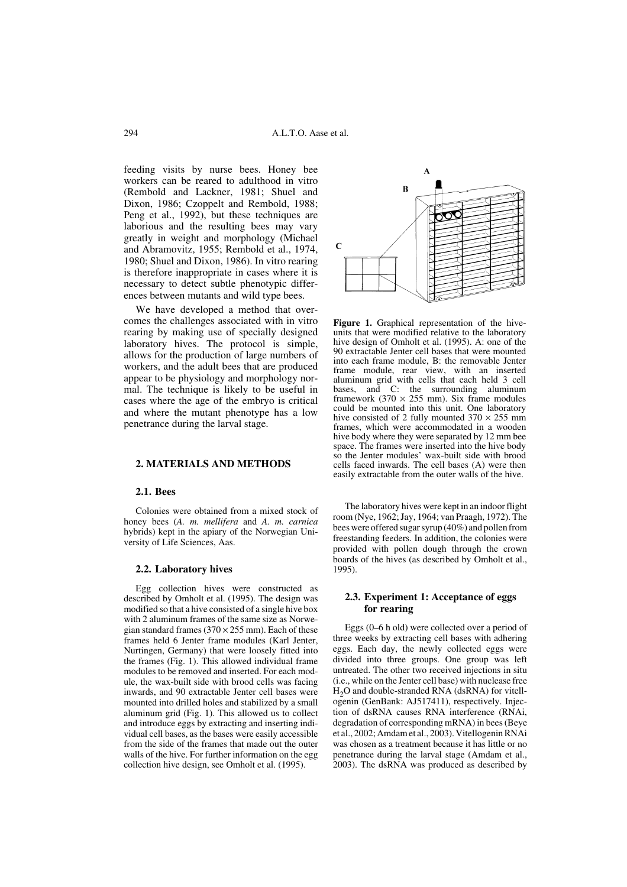feeding visits by nurse bees. Honey bee workers can be reared to adulthood in vitro (Rembold and Lackner, 1981; Shuel and Dixon, 1986; Czoppelt and Rembold, 1988; Peng et al., 1992), but these techniques are laborious and the resulting bees may vary greatly in weight and morphology (Michael and Abramovitz, 1955; Rembold et al., 1974, 1980; Shuel and Dixon, 1986). In vitro rearing is therefore inappropriate in cases where it is necessary to detect subtle phenotypic differences between mutants and wild type bees.

We have developed a method that overcomes the challenges associated with in vitro rearing by making use of specially designed laboratory hives. The protocol is simple, allows for the production of large numbers of workers, and the adult bees that are produced appear to be physiology and morphology normal. The technique is likely to be useful in cases where the age of the embryo is critical and where the mutant phenotype has a low penetrance during the larval stage.

#### **2. MATERIALS AND METHODS**

## **2.1. Bees**

Colonies were obtained from a mixed stock of honey bees (*A. m. mellifera* and *A. m. carnica* hybrids) kept in the apiary of the Norwegian University of Life Sciences, Aas.

## **2.2. Laboratory hives**

Egg collection hives were constructed as described by Omholt et al. (1995). The design was modified so that a hive consisted of a single hive box with 2 aluminum frames of the same size as Norwegian standard frames ( $370 \times 255$  mm). Each of these frames held 6 Jenter frame modules (Karl Jenter, Nurtingen, Germany) that were loosely fitted into the frames (Fig. 1). This allowed individual frame modules to be removed and inserted. For each module, the wax-built side with brood cells was facing inwards, and 90 extractable Jenter cell bases were mounted into drilled holes and stabilized by a small aluminum grid (Fig. 1). This allowed us to collect and introduce eggs by extracting and inserting individual cell bases, as the bases were easily accessible from the side of the frames that made out the outer walls of the hive. For further information on the egg collection hive design, see Omholt et al. (1995).



**Figure 1.** Graphical representation of the hiveunits that were modified relative to the laboratory hive design of Omholt et al. (1995). A: one of the 90 extractable Jenter cell bases that were mounted into each frame module, B: the removable Jenter frame module, rear view, with an inserted aluminum grid with cells that each held 3 cell bases, and C: the surrounding aluminum framework (370  $\times$  255 mm). Six frame modules could be mounted into this unit. One laboratory hive consisted of 2 fully mounted  $370 \times 255$  mm frames, which were accommodated in a wooden hive body where they were separated by 12 mm bee space. The frames were inserted into the hive body so the Jenter modules' wax-built side with brood cells faced inwards. The cell bases (A) were then easily extractable from the outer walls of the hive.

The laboratory hives were kept in an indoor flight room (Nye, 1962; Jay, 1964; van Praagh, 1972). The bees were offered sugar syrup (40%) and pollen from freestanding feeders. In addition, the colonies were provided with pollen dough through the crown boards of the hives (as described by Omholt et al., 1995).

## **2.3. Experiment 1: Acceptance of eggs for rearing**

Eggs (0–6 h old) were collected over a period of three weeks by extracting cell bases with adhering eggs. Each day, the newly collected eggs were divided into three groups. One group was left untreated. The other two received injections in situ (i.e., while on the Jenter cell base) with nuclease free  $H<sub>2</sub>O$  and double-stranded RNA (dsRNA) for vitellogenin (GenBank: AJ517411), respectively. Injection of dsRNA causes RNA interference (RNAi, degradation of corresponding mRNA) in bees (Beye et al., 2002; Amdam et al., 2003). Vitellogenin RNAi was chosen as a treatment because it has little or no penetrance during the larval stage (Amdam et al., 2003). The dsRNA was produced as described by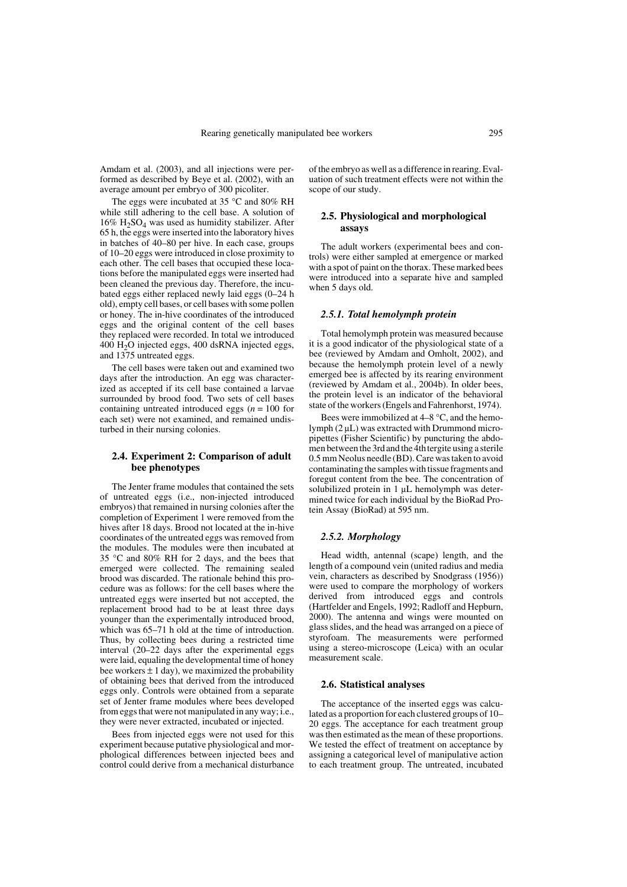Amdam et al. (2003), and all injections were performed as described by Beye et al. (2002), with an average amount per embryo of 300 picoliter.

The eggs were incubated at 35 °C and 80% RH while still adhering to the cell base. A solution of  $16\%$  H<sub>2</sub>SO<sub>4</sub> was used as humidity stabilizer. After 65 h, the eggs were inserted into the laboratory hives in batches of 40–80 per hive. In each case, groups of 10–20 eggs were introduced in close proximity to each other. The cell bases that occupied these locations before the manipulated eggs were inserted had been cleaned the previous day. Therefore, the incubated eggs either replaced newly laid eggs (0–24 h old), empty cell bases, or cell bases with some pollen or honey. The in-hive coordinates of the introduced eggs and the original content of the cell bases they replaced were recorded. In total we introduced  $400 \text{ H}_2\text{O}$  injected eggs,  $400 \text{ dsRNA}$  injected eggs, and 1375 untreated eggs.

The cell bases were taken out and examined two days after the introduction. An egg was characterized as accepted if its cell base contained a larvae surrounded by brood food. Two sets of cell bases containing untreated introduced eggs (*n* = 100 for each set) were not examined, and remained undisturbed in their nursing colonies.

## **2.4. Experiment 2: Comparison of adult bee phenotypes**

The Jenter frame modules that contained the sets of untreated eggs (i.e., non-injected introduced embryos) that remained in nursing colonies after the completion of Experiment 1 were removed from the hives after 18 days. Brood not located at the in-hive coordinates of the untreated eggs was removed from the modules. The modules were then incubated at 35 °C and 80% RH for 2 days, and the bees that emerged were collected. The remaining sealed brood was discarded. The rationale behind this procedure was as follows: for the cell bases where the untreated eggs were inserted but not accepted, the replacement brood had to be at least three days younger than the experimentally introduced brood, which was  $65-71$  h old at the time of introduction. Thus, by collecting bees during a restricted time interval (20–22 days after the experimental eggs were laid, equaling the developmental time of honey bee workers  $\pm 1$  day), we maximized the probability of obtaining bees that derived from the introduced eggs only. Controls were obtained from a separate set of Jenter frame modules where bees developed from eggs that were not manipulated in any way; i.e., they were never extracted, incubated or injected.

Bees from injected eggs were not used for this experiment because putative physiological and morphological differences between injected bees and control could derive from a mechanical disturbance of the embryo as well as a difference in rearing. Evaluation of such treatment effects were not within the scope of our study.

### **2.5. Physiological and morphological assays**

The adult workers (experimental bees and controls) were either sampled at emergence or marked with a spot of paint on the thorax. These marked bees were introduced into a separate hive and sampled when 5 days old.

## *2.5.1. Total hemolymph protein*

Total hemolymph protein was measured because it is a good indicator of the physiological state of a bee (reviewed by Amdam and Omholt, 2002), and because the hemolymph protein level of a newly emerged bee is affected by its rearing environment (reviewed by Amdam et al., 2004b). In older bees, the protein level is an indicator of the behavioral state of the workers (Engels and Fahrenhorst, 1974).

Bees were immobilized at 4–8 °C, and the hemolymph (2 µL) was extracted with Drummond micropipettes (Fisher Scientific) by puncturing the abdomen between the 3rdand the 4thtergite using a sterile 0.5 mm Neolus needle (BD). Care was taken to avoid contaminating the samples with tissue fragments and foregut content from the bee. The concentration of solubilized protein in 1 µL hemolymph was determined twice for each individual by the BioRad Protein Assay (BioRad) at 595 nm.

#### *2.5.2. Morphology*

Head width, antennal (scape) length, and the length of a compound vein (united radius and media vein, characters as described by Snodgrass (1956)) were used to compare the morphology of workers derived from introduced eggs and controls (Hartfelder and Engels, 1992; Radloff and Hepburn, 2000). The antenna and wings were mounted on glass slides, and the head was arranged on a piece of styrofoam. The measurements were performed using a stereo-microscope (Leica) with an ocular measurement scale.

#### **2.6. Statistical analyses**

The acceptance of the inserted eggs was calculated as a proportion for each clustered groups of 10– 20 eggs. The acceptance for each treatment group was then estimated as the mean of these proportions. We tested the effect of treatment on acceptance by assigning a categorical level of manipulative action to each treatment group. The untreated, incubated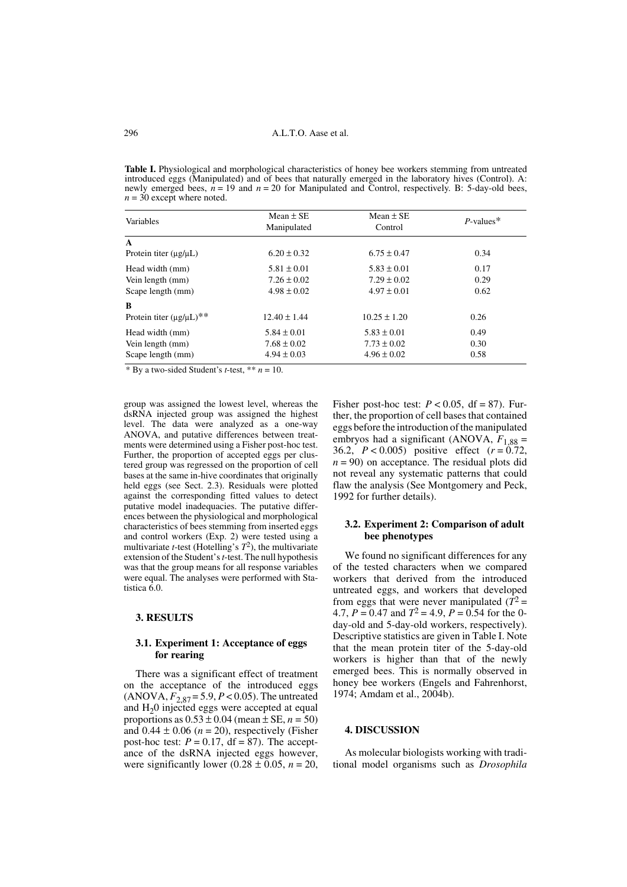Table I. Physiological and morphological characteristics of honey bee workers stemming from untreated introduced eggs (Manipulated) and of bees that naturally emerged in the laboratory hives (Control). A: newly emerged bees,  $n = 19$  and  $n = 20$  for Manipulated and Control, respectively. B: 5-day-old bees,  $n = 30$  except where noted.

| Variables                          | Mean $\pm$ SE<br>Manipulated | Mean $\pm$ SE<br>Control | $P$ -values <sup>*</sup> |
|------------------------------------|------------------------------|--------------------------|--------------------------|
| $\mathbf{A}$                       |                              |                          |                          |
| Protein titer $(\mu g/\mu L)$      | $6.20 \pm 0.32$              | $6.75 \pm 0.47$          | 0.34                     |
| Head width (mm)                    | $5.81 \pm 0.01$              | $5.83 \pm 0.01$          | 0.17                     |
| Vein length (mm)                   | $7.26 \pm 0.02$              | $7.29 \pm 0.02$          | 0.29                     |
| Scape length (mm)                  | $4.98 \pm 0.02$              | $4.97 \pm 0.01$          | 0.62                     |
| B                                  |                              |                          |                          |
| Protein titer $(\mu g/\mu L)^{**}$ | $12.40 \pm 1.44$             | $10.25 \pm 1.20$         | 0.26                     |
| Head width (mm)                    | $5.84 \pm 0.01$              | $5.83 \pm 0.01$          | 0.49                     |
| Vein length (mm)                   | $7.68 \pm 0.02$              | $7.73 \pm 0.02$          | 0.30                     |
| Scape length (mm)                  | $4.94 \pm 0.03$              | $4.96 \pm 0.02$          | 0.58                     |

\* By a two-sided Student's *t*-test, \*\*  $n = 10$ .

group was assigned the lowest level, whereas the dsRNA injected group was assigned the highest level. The data were analyzed as a one-way ANOVA, and putative differences between treatments were determined using a Fisher post-hoc test. Further, the proportion of accepted eggs per clustered group was regressed on the proportion of cell bases at the same in-hive coordinates that originally held eggs (see Sect. 2.3). Residuals were plotted against the corresponding fitted values to detect putative model inadequacies. The putative differences between the physiological and morphological characteristics of bees stemming from inserted eggs and control workers (Exp. 2) were tested using a multivariate *t*-test (Hotelling's *T*2), the multivariate extension of the Student's *t*-test. The null hypothesis was that the group means for all response variables were equal. The analyses were performed with Statistica 6.0.

#### **3. RESULTS**

### **3.1. Experiment 1: Acceptance of eggs for rearing**

There was a significant effect of treatment on the acceptance of the introduced eggs  $(ANOVA, F_{2,87} = 5.9, P < 0.05)$ . The untreated and  $H<sub>2</sub>0$  injected eggs were accepted at equal proportions as  $0.53 \pm 0.04$  (mean  $\pm$  SE,  $n = 50$ ) and  $0.44 \pm 0.06$  ( $n = 20$ ), respectively (Fisher post-hoc test:  $P = 0.17$ , df = 87). The acceptance of the dsRNA injected eggs however, were significantly lower (0.28  $\pm$  0.05, *n* = 20, Fisher post-hoc test:  $P < 0.05$ , df = 87). Further, the proportion of cell bases that contained eggs before the introduction of the manipulated embryos had a significant (ANOVA,  $F_{1,88}$  = 36.2, *P* < 0.005) positive effect (*r* = 0.72,  $n = 90$ ) on acceptance. The residual plots did not reveal any systematic patterns that could flaw the analysis (See Montgomery and Peck, 1992 for further details).

## **3.2. Experiment 2: Comparison of adult bee phenotypes**

We found no significant differences for any of the tested characters when we compared workers that derived from the introduced untreated eggs, and workers that developed from eggs that were never manipulated  $(T^2 =$ 4.7,  $P = 0.47$  and  $T^2 = 4.9$ ,  $P = 0.54$  for the 0day-old and 5-day-old workers, respectively). Descriptive statistics are given in Table I. Note that the mean protein titer of the 5-day-old workers is higher than that of the newly emerged bees. This is normally observed in honey bee workers (Engels and Fahrenhorst, 1974; Amdam et al., 2004b).

## **4. DISCUSSION**

As molecular biologists working with traditional model organisms such as *Drosophila*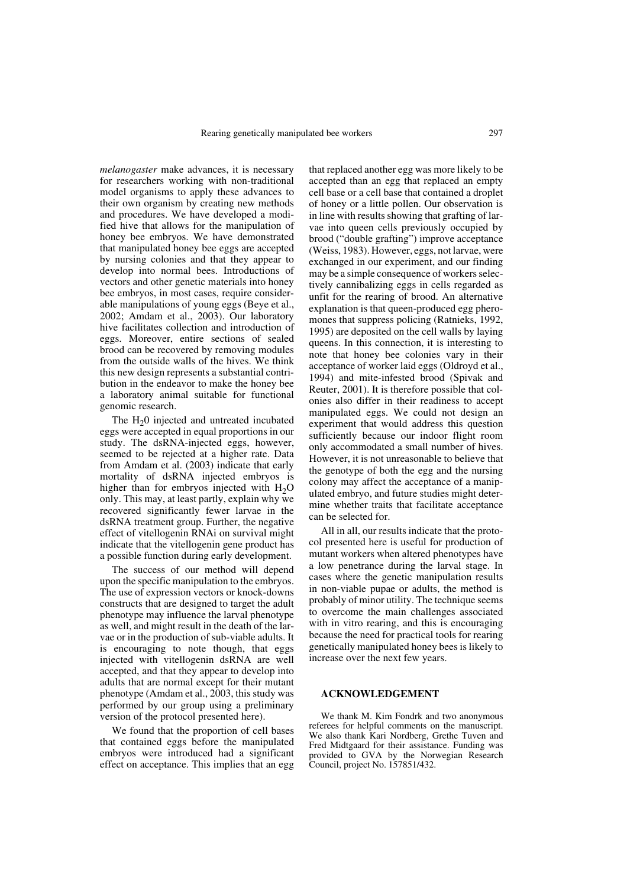*melanogaster* make advances, it is necessary for researchers working with non-traditional model organisms to apply these advances to their own organism by creating new methods and procedures. We have developed a modified hive that allows for the manipulation of honey bee embryos. We have demonstrated that manipulated honey bee eggs are accepted by nursing colonies and that they appear to develop into normal bees. Introductions of vectors and other genetic materials into honey bee embryos, in most cases, require considerable manipulations of young eggs (Beye et al., 2002; Amdam et al., 2003). Our laboratory hive facilitates collection and introduction of eggs. Moreover, entire sections of sealed brood can be recovered by removing modules from the outside walls of the hives. We think this new design represents a substantial contribution in the endeavor to make the honey bee a laboratory animal suitable for functional genomic research.

The  $H<sub>2</sub>0$  injected and untreated incubated eggs were accepted in equal proportions in our study. The dsRNA-injected eggs, however, seemed to be rejected at a higher rate. Data from Amdam et al. (2003) indicate that early mortality of dsRNA injected embryos is higher than for embryos injected with  $H_2O$ only. This may, at least partly, explain why we recovered significantly fewer larvae in the dsRNA treatment group. Further, the negative effect of vitellogenin RNAi on survival might indicate that the vitellogenin gene product has a possible function during early development.

The success of our method will depend upon the specific manipulation to the embryos. The use of expression vectors or knock-downs constructs that are designed to target the adult phenotype may influence the larval phenotype as well, and might result in the death of the larvae or in the production of sub-viable adults. It is encouraging to note though, that eggs injected with vitellogenin dsRNA are well accepted, and that they appear to develop into adults that are normal except for their mutant phenotype (Amdam et al., 2003, this study was performed by our group using a preliminary version of the protocol presented here).

We found that the proportion of cell bases that contained eggs before the manipulated embryos were introduced had a significant effect on acceptance. This implies that an egg

that replaced another egg was more likely to be accepted than an egg that replaced an empty cell base or a cell base that contained a droplet of honey or a little pollen. Our observation is in line with results showing that grafting of larvae into queen cells previously occupied by brood ("double grafting") improve acceptance (Weiss, 1983). However, eggs, not larvae, were exchanged in our experiment, and our finding may be a simple consequence of workers selectively cannibalizing eggs in cells regarded as unfit for the rearing of brood. An alternative explanation is that queen-produced egg pheromones that suppress policing (Ratnieks, 1992, 1995) are deposited on the cell walls by laying queens. In this connection, it is interesting to note that honey bee colonies vary in their acceptance of worker laid eggs (Oldroyd et al., 1994) and mite-infested brood (Spivak and Reuter, 2001). It is therefore possible that colonies also differ in their readiness to accept manipulated eggs. We could not design an experiment that would address this question sufficiently because our indoor flight room only accommodated a small number of hives. However, it is not unreasonable to believe that the genotype of both the egg and the nursing colony may affect the acceptance of a manipulated embryo, and future studies might determine whether traits that facilitate acceptance can be selected for.

All in all, our results indicate that the protocol presented here is useful for production of mutant workers when altered phenotypes have a low penetrance during the larval stage. In cases where the genetic manipulation results in non-viable pupae or adults, the method is probably of minor utility. The technique seems to overcome the main challenges associated with in vitro rearing, and this is encouraging because the need for practical tools for rearing genetically manipulated honey bees is likely to increase over the next few years.

#### **ACKNOWLEDGEMENT**

We thank M. Kim Fondrk and two anonymous referees for helpful comments on the manuscript. We also thank Kari Nordberg, Grethe Tuven and Fred Midtgaard for their assistance. Funding was provided to GVA by the Norwegian Research Council, project No. 157851/432.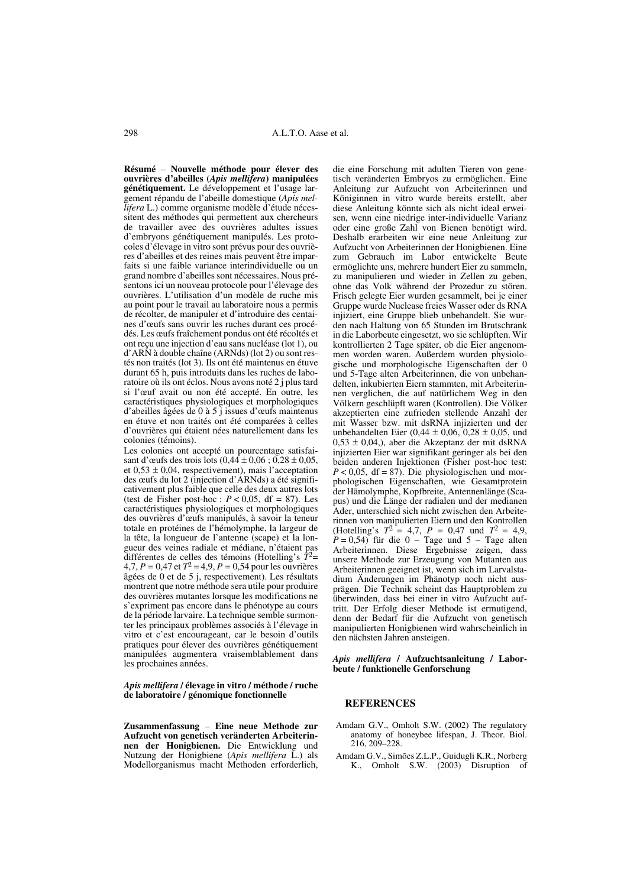**Résumé** – **Nouvelle méthode pour élever des ouvrières d'abeilles (***Apis mellifera***) manipulées génétiquement.** Le développement et l'usage largement répandu de l'abeille domestique (*Apis mellifera* L.) comme organisme modèle d'étude nécessitent des méthodes qui permettent aux chercheurs de travailler avec des ouvrières adultes issues d'embryons génétiquement manipulés. Les protocoles d'élevage in vitro sont prévus pour des ouvrières d'abeilles et des reines mais peuvent être imparfaits si une faible variance interindividuelle ou un grand nombre d'abeilles sont nécessaires. Nous présentons ici un nouveau protocole pour l'élevage des ouvrières. L'utilisation d'un modèle de ruche mis au point pour le travail au laboratoire nous a permis de récolter, de manipuler et d'introduire des centaines d'œufs sans ouvrir les ruches durant ces procédés. Les œufs fraîchement pondus ont été récoltés et ont reçu une injection d'eau sans nucléase (lot 1), ou d'ARN à double chaîne (ARNds) (lot 2) ou sont restés non traités (lot 3). Ils ont été maintenus en étuve durant 65 h, puis introduits dans les ruches de laboratoire où ils ont éclos. Nous avons noté 2 j plus tard si l'œuf avait ou non été accepté. En outre, les caractéristiques physiologiques et morphologiques d'abeilles âgées de 0 à 5 j issues d'œufs maintenus en étuve et non traités ont été comparées à celles d'ouvrières qui étaient nées naturellement dans les colonies (témoins).

Les colonies ont accepté un pourcentage satisfaisant d'œufs des trois lots  $(0,44 \pm 0,06 ; 0,28 \pm 0,05,$ et  $0.53 \pm 0.04$ , respectivement), mais l'acceptation des œufs du lot 2 (injection d'ARNds) a été significativement plus faible que celle des deux autres lots (test de Fisher post-hoc :  $P < 0.05$ , df = 87). Les caractéristiques physiologiques et morphologiques des ouvrières d'œufs manipulés, à savoir la teneur totale en protéines de l'hémolymphe, la largeur de la tête, la longueur de l'antenne (scape) et la longueur des veines radiale et médiane, n'étaient pas différentes de celles des témoins (Hotelling's *T*2= 4,7, *P* = 0,47 et *T*<sup>2</sup> = 4,9, *P* = 0,54 pour les ouvrières âgées de 0 et de 5 j, respectivement). Les résultats montrent que notre méthode sera utile pour produire des ouvrières mutantes lorsque les modifications ne s'expriment pas encore dans le phénotype au cours de la période larvaire. La technique semble surmonter les principaux problèmes associés à l'élevage in vitro et c'est encourageant, car le besoin d'outils pratiques pour élever des ouvrières génétiquement manipulées augmentera vraisemblablement dans les prochaines années.

*Apis mellifera* **/ élevage in vitro / méthode / ruche de laboratoire / génomique fonctionnelle**

**Zusammenfassung** – **Eine neue Methode zur Aufzucht von genetisch veränderten Arbeiterinnen der Honigbienen.** Die Entwicklung und Nutzung der Honigbiene (*Apis mellifera* L.) als Modellorganismus macht Methoden erforderlich,

die eine Forschung mit adulten Tieren von genetisch veränderten Embryos zu ermöglichen. Eine Anleitung zur Aufzucht von Arbeiterinnen und Königinnen in vitro wurde bereits erstellt, aber diese Anleitung könnte sich als nicht ideal erweisen, wenn eine niedrige inter-individuelle Varianz oder eine große Zahl von Bienen benötigt wird. Deshalb erarbeiten wir eine neue Anleitung zur Aufzucht von Arbeiterinnen der Honigbienen. Eine zum Gebrauch im Labor entwickelte Beute ermöglichte uns, mehrere hundert Eier zu sammeln, zu manipulieren und wieder in Zellen zu geben, ohne das Volk während der Prozedur zu stören. Frisch gelegte Eier wurden gesammelt, bei je einer Gruppe wurde Nuclease freies Wasser oder ds RNA injiziert, eine Gruppe blieb unbehandelt. Sie wurden nach Haltung von 65 Stunden im Brutschrank in die Laborbeute eingesetzt, wo sie schlüpften. Wir kontrollierten 2 Tage später, ob die Eier angenommen worden waren. Außerdem wurden physiologische und morphologische Eigenschaften der 0 und 5-Tage alten Arbeiterinnen, die von unbehandelten, inkubierten Eiern stammten, mit Arbeiterinnen verglichen, die auf natürlichem Weg in den Völkern geschlüpft waren (Kontrollen). Die Völker akzeptierten eine zufrieden stellende Anzahl der mit Wasser bzw. mit dsRNA injizierten und der unbehandelten Eier (0,44 ± 0,06, 0,28 ± 0,05, und  $0.53 \pm 0.04$ , aber die Akzeptanz der mit dsRNA injizierten Eier war signifikant geringer als bei den beiden anderen Injektionen (Fisher post-hoc test:  $P < 0.05$ , df = 87). Die physiologischen und morphologischen Eigenschaften, wie Gesamtprotein der Hämolymphe, Kopfbreite, Antennenlänge (Scapus) und die Länge der radialen und der medianen Ader, unterschied sich nicht zwischen den Arbeiterinnen von manipulierten Eiern und den Kontrollen (Hotelling's  $T^2 = 4.7$ ,  $P = 0.47$  und  $T^2 = 4.9$ ,  $P = 0.54$ ) für die 0 – Tage und 5 – Tage alten Arbeiterinnen. Diese Ergebnisse zeigen, dass unsere Methode zur Erzeugung von Mutanten aus Arbeiterinnen geeignet ist, wenn sich im Larvalstadium Änderungen im Phänotyp noch nicht ausprägen. Die Technik scheint das Hauptproblem zu überwinden, dass bei einer in vitro Aufzucht auftritt. Der Erfolg dieser Methode ist ermutigend, denn der Bedarf für die Aufzucht von genetisch manipulierten Honigbienen wird wahrscheinlich in den nächsten Jahren ansteigen.

#### *Apis mellifera* **/ Aufzuchtsanleitung / Laborbeute / funktionelle Genforschung**

#### **REFERENCES**

- Amdam G.V., Omholt S.W. (2002) The regulatory anatomy of honeybee lifespan, J. Theor. Biol. 216, 209–228.
- Amdam G.V., Simões Z.L.P., Guidugli K.R., Norberg K., Omholt S.W. (2003) Disruption of